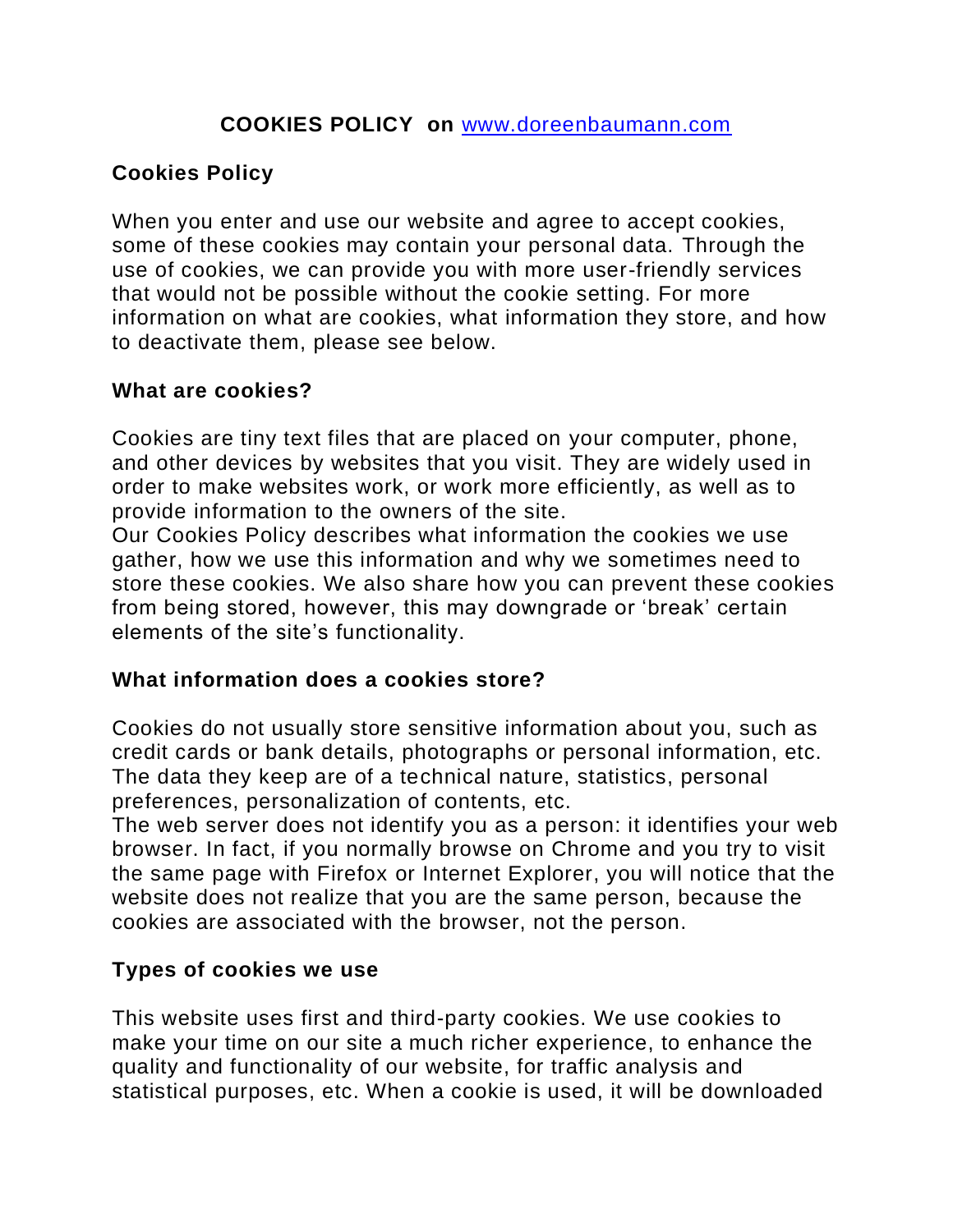# **Cookies Policy**

When you enter and use our website and agree to accept cookies, some of these cookies may contain your personal data. Through the use of cookies, we can provide you with more user-friendly services that would not be possible without the cookie setting. For more information on what are cookies, what information they store, and how to deactivate them, please see below.

#### **What are cookies?**

Cookies are tiny text files that are placed on your computer, phone, and other devices by websites that you visit. They are widely used in order to make websites work, or work more efficiently, as well as to provide information to the owners of the site.

Our Cookies Policy describes what information the cookies we use gather, how we use this information and why we sometimes need to store these cookies. We also share how you can prevent these cookies from being stored, however, this may downgrade or 'break' certain elements of the site's functionality.

## **What information does a cookies store?**

Cookies do not usually store sensitive information about you, such as credit cards or bank details, photographs or personal information, etc. The data they keep are of a technical nature, statistics, personal preferences, personalization of contents, etc.

The web server does not identify you as a person: it identifies your web browser. In fact, if you normally browse on Chrome and you try to visit the same page with Firefox or Internet Explorer, you will notice that the website does not realize that you are the same person, because the cookies are associated with the browser, not the person.

## **Types of cookies we use**

This website uses first and third-party cookies. We use cookies to make your time on our site a much richer experience, to enhance the quality and functionality of our website, for traffic analysis and statistical purposes, etc. When a cookie is used, it will be downloaded